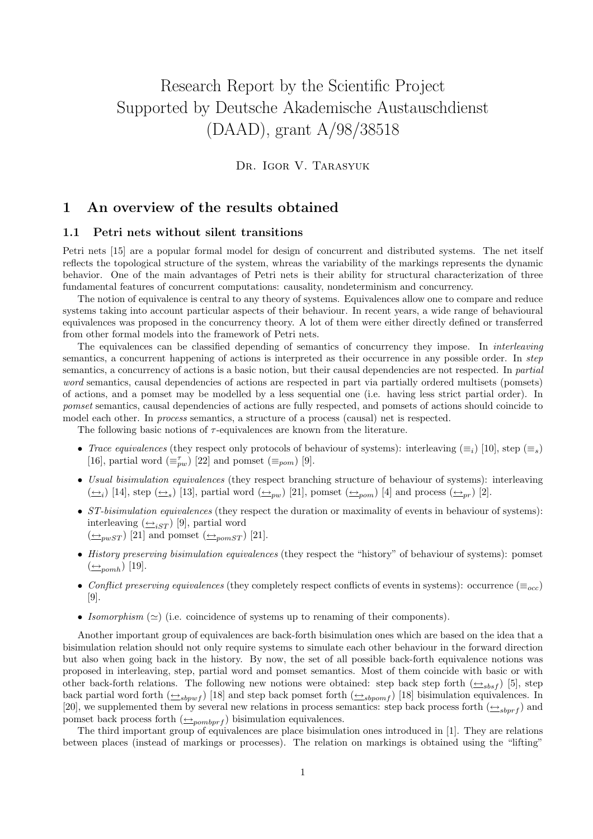# Research Report by the Scientific Project Supported by Deutsche Akademische Austauschdienst (DAAD), grant A/98/38518

Dr. Igor V. Tarasyuk

## 1 An overview of the results obtained

#### 1.1 Petri nets without silent transitions

Petri nets [15] are a popular formal model for design of concurrent and distributed systems. The net itself reflects the topological structure of the system, whreas the variability of the markings represents the dynamic behavior. One of the main advantages of Petri nets is their ability for structural characterization of three fundamental features of concurrent computations: causality, nondeterminism and concurrency.

The notion of equivalence is central to any theory of systems. Equivalences allow one to compare and reduce systems taking into account particular aspects of their behaviour. In recent years, a wide range of behavioural equivalences was proposed in the concurrency theory. A lot of them were either directly defined or transferred from other formal models into the framework of Petri nets.

The equivalences can be classified depending of semantics of concurrency they impose. In *interleaving* semantics, a concurrent happening of actions is interpreted as their occurrence in any possible order. In *step* semantics, a concurrency of actions is a basic notion, but their causal dependencies are not respected. In partial word semantics, causal dependencies of actions are respected in part via partially ordered multisets (pomsets) of actions, and a pomset may be modelled by a less sequential one (i.e. having less strict partial order). In pomset semantics, causal dependencies of actions are fully respected, and pomsets of actions should coincide to model each other. In process semantics, a structure of a process (causal) net is respected.

The following basic notions of  $\tau$ -equivalences are known from the literature.

- Trace equivalences (they respect only protocols of behaviour of systems): interleaving  $(\equiv_i)$  [10], step  $(\equiv_s)$ [16], partial word  $(\equiv_{pw}^{\tau})$  [22] and pomset  $(\equiv_{pom})$  [9].
- Usual bisimulation equivalences (they respect branching structure of behaviour of systems): interleaving  $(\underline{\leftrightarrow}_i)$  [14], step  $(\underline{\leftrightarrow}_s)$  [13], partial word  $(\underline{\leftrightarrow}_{pw})$  [21], pomset  $(\underline{\leftrightarrow}_{pom})$  [4] and process  $(\underline{\leftrightarrow}_{pr})$  [2].
- $ST-bisimulation\;equivalences$  (they respect the duration or maximality of events in behaviour of systems): interleaving  $(\underline{\leftrightarrow}_{iST})$  [9], partial word  $(\underline{\leftrightarrow}_{pwsT})$  [21] and pomset  $(\underline{\leftrightarrow}_{pomsT})$  [21].
- History preserving bisimulation equivalences (they respect the "history" of behaviour of systems): pomset  $\left(\frac{\leftarrow}{2\epsilon}$ <sub>nomh</sub> $\right)$  [19].
- Conflict preserving equivalences (they completely respect conflicts of events in systems): occurrence ( $\equiv_{occ}$ ) [9].
- Isomorphism  $(\simeq)$  (i.e. coincidence of systems up to renaming of their components).

Another important group of equivalences are back-forth bisimulation ones which are based on the idea that a bisimulation relation should not only require systems to simulate each other behaviour in the forward direction but also when going back in the history. By now, the set of all possible back-forth equivalence notions was proposed in interleaving, step, partial word and pomset semantics. Most of them coincide with basic or with other back-forth relations. The following new notions were obtained: step back step forth  $(\triangle_{sbsf})$  [5], step back partial word forth  $(\underline{\leftrightarrow}_{sbpwf})$  [18] and step back pomset forth  $(\underline{\leftrightarrow}_{sbpomf})$  [18] bisimulation equivalences. In [20], we supplemented them by several new relations in process semantics: step back process forth  $(\triangle_{sbrrf})$  and pomset back process forth  $(\triangle_{pombprf})$  bisimulation equivalences.

The third important group of equivalences are place bisimulation ones introduced in [1]. They are relations between places (instead of markings or processes). The relation on markings is obtained using the "lifting"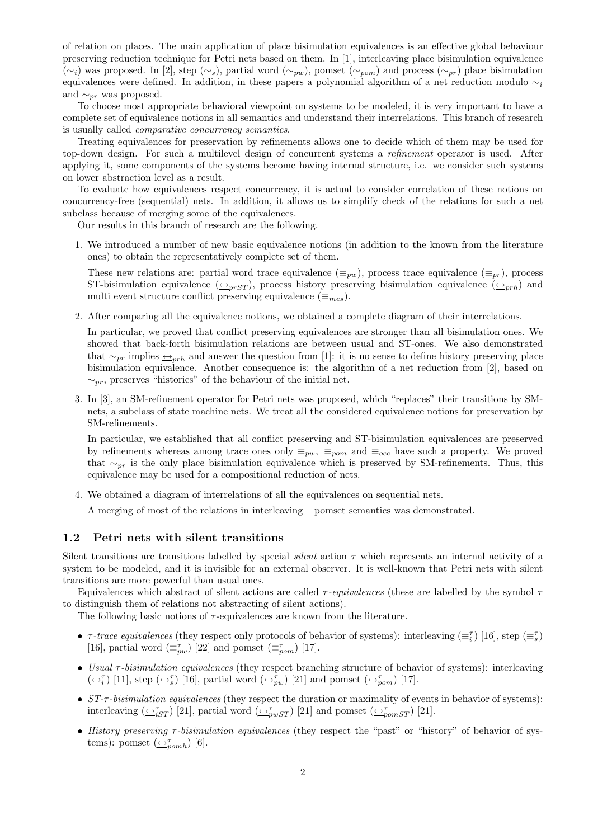of relation on places. The main application of place bisimulation equivalences is an effective global behaviour preserving reduction technique for Petri nets based on them. In [1], interleaving place bisimulation equivalence  $(\sim_i)$  was proposed. In [2], step  $(\sim_s)$ , partial word  $(\sim_{pw})$ , pomset  $(\sim_{pom})$  and process  $(\sim_{pr})$  place bisimulation equivalences were defined. In addition, in these papers a polynomial algorithm of a net reduction modulo  $\sim_i$ and  $\sim_{pr}$  was proposed.

To choose most appropriate behavioral viewpoint on systems to be modeled, it is very important to have a complete set of equivalence notions in all semantics and understand their interrelations. This branch of research is usually called comparative concurrency semantics.

Treating equivalences for preservation by refinements allows one to decide which of them may be used for top-down design. For such a multilevel design of concurrent systems a refinement operator is used. After applying it, some components of the systems become having internal structure, i.e. we consider such systems on lower abstraction level as a result.

To evaluate how equivalences respect concurrency, it is actual to consider correlation of these notions on concurrency-free (sequential) nets. In addition, it allows us to simplify check of the relations for such a net subclass because of merging some of the equivalences.

Our results in this branch of research are the following.

1. We introduced a number of new basic equivalence notions (in addition to the known from the literature ones) to obtain the representatively complete set of them.

These new relations are: partial word trace equivalence  $(\equiv_{pw})$ , process trace equivalence  $(\equiv_{pr})$ , process ST-bisimulation equivalence  $(\triangle_{prST})$ , process history preserving bisimulation equivalence  $(\triangle_{prh})$  and multi event structure conflict preserving equivalence ( $\equiv_{mes}$ ).

2. After comparing all the equivalence notions, we obtained a complete diagram of their interrelations.

In particular, we proved that conflict preserving equivalences are stronger than all bisimulation ones. We showed that back-forth bisimulation relations are between usual and ST-ones. We also demonstrated that  $\sim_{pr}$  implies  $\leftarrow_{prh}$  and answer the question from [1]: it is no sense to define history preserving place bisimulation equivalence. Another consequence is: the algorithm of a net reduction from [2], based on  $\sim_{pr}$ , preserves "histories" of the behaviour of the initial net.

3. In [3], an SM-refinement operator for Petri nets was proposed, which "replaces" their transitions by SMnets, a subclass of state machine nets. We treat all the considered equivalence notions for preservation by SM-refinements.

In particular, we established that all conflict preserving and ST-bisimulation equivalences are preserved by refinements whereas among trace ones only  $\equiv_{pw}$ ,  $\equiv_{pom}$  and  $\equiv_{occ}$  have such a property. We proved that  $\sim_{pr}$  is the only place bisimulation equivalence which is preserved by SM-refinements. Thus, this equivalence may be used for a compositional reduction of nets.

4. We obtained a diagram of interrelations of all the equivalences on sequential nets.

A merging of most of the relations in interleaving – pomset semantics was demonstrated.

#### 1.2 Petri nets with silent transitions

Silent transitions are transitions labelled by special *silent* action  $\tau$  which represents an internal activity of a system to be modeled, and it is invisible for an external observer. It is well-known that Petri nets with silent transitions are more powerful than usual ones.

Equivalences which abstract of silent actions are called  $\tau$ -equivalences (these are labelled by the symbol  $\tau$ to distinguish them of relations not abstracting of silent actions).

The following basic notions of  $\tau$ -equivalences are known from the literature.

- $\tau$ -trace equivalences (they respect only protocols of behavior of systems): interleaving  $(\equiv_i^{\tau})$  [16], step  $(\equiv_s^{\tau})$ [16], partial word  $(\equiv_{pw}^{\tau})$  [22] and pomset  $(\equiv_{pom}^{\tau})$  [17].
- Usual  $\tau$ -bisimulation equivalences (they respect branching structure of behavior of systems): interleaving  $(\underline{\leftrightarrow_i^{\tau}})$  [11], step  $(\underline{\leftrightarrow_i^{\tau}})$  [16], partial word  $(\underline{\leftrightarrow_{pw}^{\tau}})$  [21] and pomset  $(\underline{\leftrightarrow_{pom}^{\tau}})$  [17].
- $ST-\tau$ -bisimulation equivalences (they respect the duration or maximality of events in behavior of systems): interleaving  $(\underbrace{\leftrightarrow}^{\tau}_{iST})$  [21], partial word  $(\underbrace{\leftrightarrow}^{\tau}_{pwST})$  [21] and pomset  $(\underbrace{\leftrightarrow}^{\tau}_{pomsT})$  [21].
- History preserving τ -bisimulation equivalences (they respect the "past" or "history" of behavior of systems): pomset  $(\underline{\leftrightarrow}_{pomh}^{\tau})$  [6].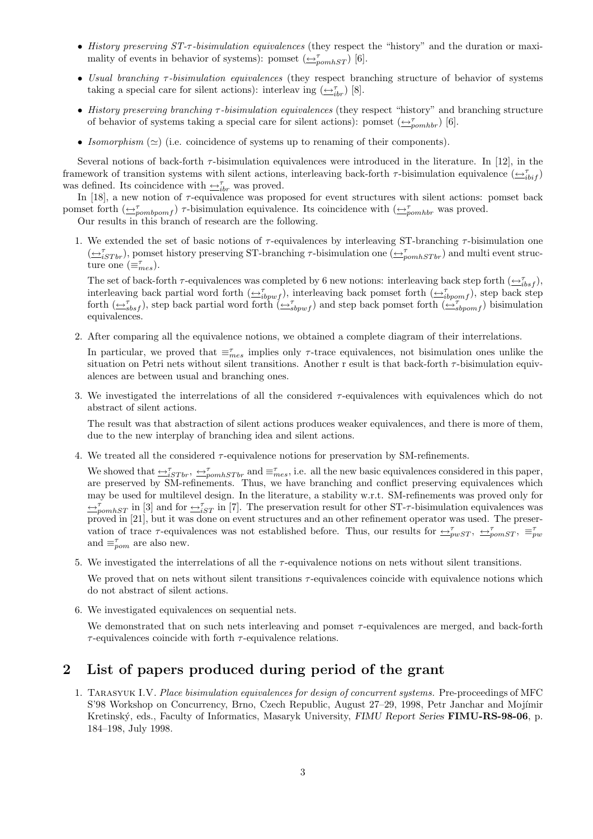- History preserving  $ST-\tau$ -bisimulation equivalences (they respect the "history" and the duration or maximality of events in behavior of systems): pomset  $(\triangle_{\textit{pomhST}}^{\tau})$  [6].
- Usual branching τ -bisimulation equivalences (they respect branching structure of behavior of systems taking a special care for silent actions): interleav ing  $(\underline{\leftrightarrow}_{ibr}^{\tau})$  [8].
- History preserving branching τ -bisimulation equivalences (they respect "history" and branching structure of behavior of systems taking a special care for silent actions): pomset  $(\triangle_{pomhbr}^{\tau})$  [6].
- Isomorphism  $(\simeq)$  (i.e. coincidence of systems up to renaming of their components).

Several notions of back-forth  $\tau$ -bisimulation equivalences were introduced in the literature. In [12], in the framework of transition systems with silent actions, interleaving back-forth  $\tau$ -bisimulation equivalence  $(\underline{\leftrightarrow}_{ibif}^{\tau})$ was defined. Its coincidence with  $\trianglelefteq^{\tau}_{ibr}$  was proved.

In  $[18]$ , a new notion of  $\tau$ -equivalence was proposed for event structures with silent actions: pomset back pomset forth  $(\triangle_{pombpomf}^{\tau})$   $\tau$ -bisimulation equivalence. Its coincidence with  $(\triangle_{pombbr}^{\tau}$  was proved.

Our results in this branch of research are the following.

1. We extended the set of basic notions of  $\tau$ -equivalences by interleaving ST-branching  $\tau$ -bisimulation one  $(\bigoplus_{i\leq T}^{\tau}S_{Tbr})$ , pomset history preserving ST-branching  $\tau$ -bisimulation one  $(\bigoplus_{pomhSTbr}^{\tau}S_{Tbr})$  and multi event structure one  $(\equiv_{mes}^{\tau})$ .

The set of back-forth  $\tau$ -equivalences was completed by 6 new notions: interleaving back step forth  $(\underline{\leftrightarrow}_{tbsf}^{\tau})$ , interleaving back partial word forth  $(\underline{\leftrightarrow}_{ibpwf}^{\tau})$ , interleaving back pomset forth  $(\underline{\leftrightarrow}_{ibpomf}^{\tau})$ , step back step forth  $(\underbrace{\leftrightarrow}^{\tau}_{sbsf})$ , step back partial word forth  $(\underbrace{\leftrightarrow}^{\tau}_{sbpwf})$  and step back pomset forth  $(\underbrace{\leftrightarrow}^{\tau}_{sbpomf})$  bisimulation equivalences.

2. After comparing all the equivalence notions, we obtained a complete diagram of their interrelations.

In particular, we proved that  $\equiv_{mes}^{\tau}$  implies only  $\tau$ -trace equivalences, not bisimulation ones unlike the situation on Petri nets without silent transitions. Another r esult is that back-forth  $\tau$ -bisimulation equivalences are between usual and branching ones.

3. We investigated the interrelations of all the considered  $\tau$ -equivalences with equivalences which do not abstract of silent actions.

The result was that abstraction of silent actions produces weaker equivalences, and there is more of them, due to the new interplay of branching idea and silent actions.

4. We treated all the considered  $\tau$ -equivalence notions for preservation by SM-refinements.

We showed that  $\triangleq_{iSTbr}^{\tau}$ ,  $\triangleq_{pomhSTbr}^{\tau}$  and  $\equiv_{mes}^{\tau}$ , i.e. all the new basic equivalences considered in this paper, are preserved by SM-refinements. Thus, we have branching and conflict preserving equivalences which may be used for multilevel design. In the literature, a stability w.r.t. SM-refinements was proved only for  $\leftrightarrow_{\text{p}omhST}^{\tau}$  in [3] and for  $\leftrightarrow_{iST}^{\tau}$  in [7]. The preservation result for other ST- $\tau$ -bisimulation equivalences was proved in [21], but it was done on event structures and an other refinement operator was used. The preservation of trace  $\tau$ -equivalences was not established before. Thus, our results for  $\Rightarrow_{pwST}^{\tau}$ ,  $\Rightarrow_{pomST}^{\tau}$ ,  $\equiv_{pw}^{\tau}$ and  $\equiv_{\textit{pom}}^{\tau}$  are also new.

- 5. We investigated the interrelations of all the  $\tau$ -equivalence notions on nets without silent transitions. We proved that on nets without silent transitions  $\tau$ -equivalences coincide with equivalence notions which do not abstract of silent actions.
- 6. We investigated equivalences on sequential nets.

We demonstrated that on such nets interleaving and pomset  $\tau$ -equivalences are merged, and back-forth  $\tau$ -equivalences coincide with forth  $\tau$ -equivalence relations.

## 2 List of papers produced during period of the grant

1. Tarasyuk I.V. Place bisimulation equivalences for design of concurrent systems. Pre-proceedings of MFC S'98 Workshop on Concurrency, Brno, Czech Republic, August 27–29, 1998, Petr Janchar and Mojímir Kretinský, eds., Faculty of Informatics, Masaryk University, FIMU Report Series FIMU-RS-98-06, p. 184–198, July 1998.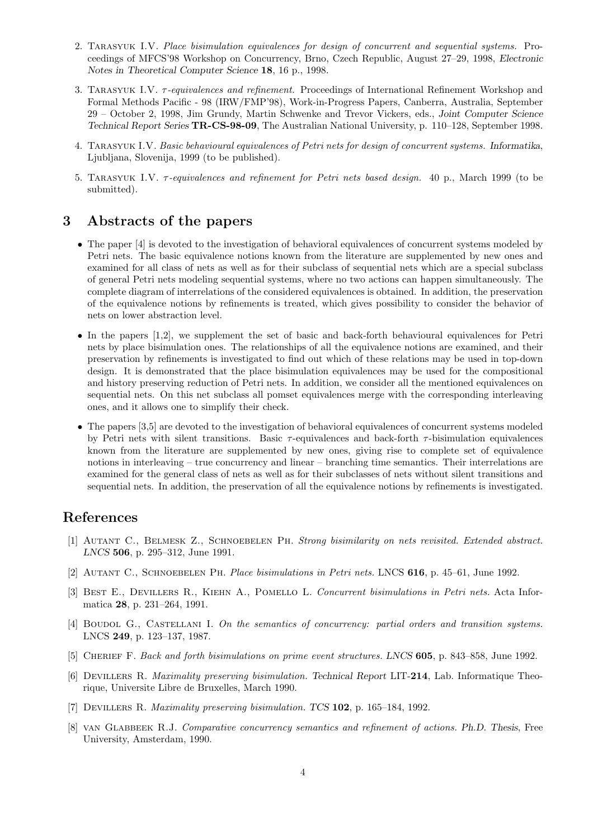- 2. Tarasyuk I.V. Place bisimulation equivalences for design of concurrent and sequential systems. Proceedings of MFCS'98 Workshop on Concurrency, Brno, Czech Republic, August 27–29, 1998, Electronic Notes in Theoretical Computer Science 18, 16 p., 1998.
- 3. TARASYUK I.V.  $\tau$ -equivalences and refinement. Proceedings of International Refinement Workshop and Formal Methods Pacific - 98 (IRW/FMP'98), Work-in-Progress Papers, Canberra, Australia, September 29 – October 2, 1998, Jim Grundy, Martin Schwenke and Trevor Vickers, eds., Joint Computer Science Technical Report Series TR-CS-98-09, The Australian National University, p. 110–128, September 1998.
- 4. Tarasyuk I.V. Basic behavioural equivalences of Petri nets for design of concurrent systems. Informatika, Ljubljana, Slovenija, 1999 (to be published).
- 5. Tarasyuk I.V. τ -equivalences and refinement for Petri nets based design. 40 p., March 1999 (to be submitted).

### 3 Abstracts of the papers

- The paper [4] is devoted to the investigation of behavioral equivalences of concurrent systems modeled by Petri nets. The basic equivalence notions known from the literature are supplemented by new ones and examined for all class of nets as well as for their subclass of sequential nets which are a special subclass of general Petri nets modeling sequential systems, where no two actions can happen simultaneously. The complete diagram of interrelations of the considered equivalences is obtained. In addition, the preservation of the equivalence notions by refinements is treated, which gives possibility to consider the behavior of nets on lower abstraction level.
- In the papers [1,2], we supplement the set of basic and back-forth behavioural equivalences for Petri nets by place bisimulation ones. The relationships of all the equivalence notions are examined, and their preservation by refinements is investigated to find out which of these relations may be used in top-down design. It is demonstrated that the place bisimulation equivalences may be used for the compositional and history preserving reduction of Petri nets. In addition, we consider all the mentioned equivalences on sequential nets. On this net subclass all pomset equivalences merge with the corresponding interleaving ones, and it allows one to simplify their check.
- The papers [3,5] are devoted to the investigation of behavioral equivalences of concurrent systems modeled by Petri nets with silent transitions. Basic  $\tau$ -equivalences and back-forth  $\tau$ -bisimulation equivalences known from the literature are supplemented by new ones, giving rise to complete set of equivalence notions in interleaving – true concurrency and linear – branching time semantics. Their interrelations are examined for the general class of nets as well as for their subclasses of nets without silent transitions and sequential nets. In addition, the preservation of all the equivalence notions by refinements is investigated.

## References

- [1] Autant C., Belmesk Z., Schnoebelen Ph. Strong bisimilarity on nets revisited. Extended abstract. LNCS 506, p. 295–312, June 1991.
- [2] Autant C., Schnoebelen Ph. Place bisimulations in Petri nets. LNCS 616, p. 45–61, June 1992.
- [3] BEST E., DEVILLERS R., KIEHN A., POMELLO L. Concurrent bisimulations in Petri nets. Acta Informatica 28, p. 231–264, 1991.
- [4] BOUDOL G., CASTELLANI I. On the semantics of concurrency: partial orders and transition systems. LNCS 249, p. 123–137, 1987.
- [5] CHERIEF F. Back and forth bisimulations on prime event structures. LNCS 605, p. 843–858, June 1992.
- [6] Devillers R. Maximality preserving bisimulation. Technical Report LIT-214, Lab. Informatique Theorique, Universite Libre de Bruxelles, March 1990.
- [7] Devillers R. Maximality preserving bisimulation. TCS 102, p. 165–184, 1992.
- [8] van Glabbeek R.J. Comparative concurrency semantics and refinement of actions. Ph.D. Thesis, Free University, Amsterdam, 1990.